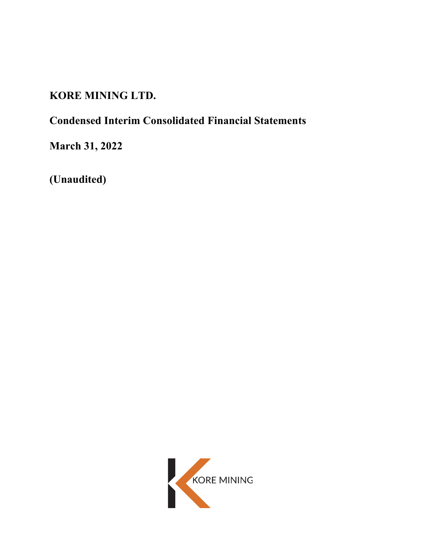# **KORE MINING LTD.**

# **Condensed Interim Consolidated Financial Statements**

**March 31, 2022**

**(Unaudited)**

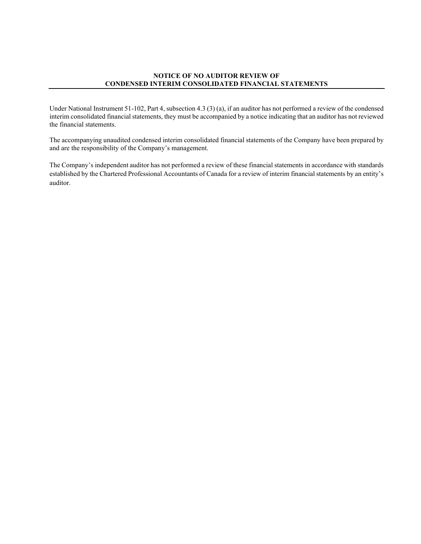#### **NOTICE OF NO AUDITOR REVIEW OF CONDENSED INTERIM CONSOLIDATED FINANCIAL STATEMENTS**

Under National Instrument 51-102, Part 4, subsection 4.3 (3) (a), if an auditor has not performed a review of the condensed interim consolidated financial statements, they must be accompanied by a notice indicating that an auditor has not reviewed the financial statements.

The accompanying unaudited condensed interim consolidated financial statements of the Company have been prepared by and are the responsibility of the Company's management.

The Company's independent auditor has not performed a review of these financial statements in accordance with standards established by the Chartered Professional Accountants of Canada for a review of interim financial statements by an entity's auditor.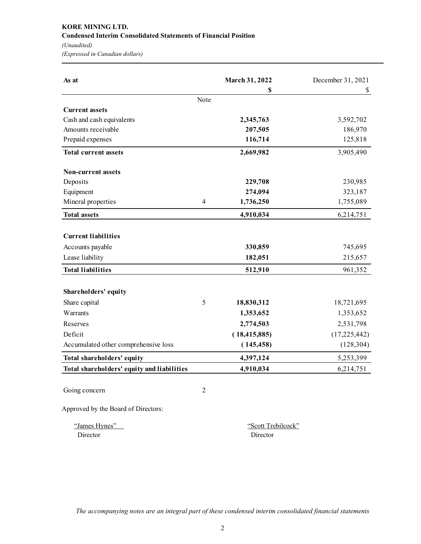# **KORE MINING LTD. Condensed Interim Consolidated Statements of Financial Position**

*(Unaudited)*

*(Expressed in Canadian dollars)*

| As at                                      |                | March 31, 2022 | December 31, 2021 |
|--------------------------------------------|----------------|----------------|-------------------|
|                                            |                | S              | \$                |
|                                            | Note           |                |                   |
| <b>Current assets</b>                      |                |                |                   |
| Cash and cash equivalents                  |                | 2,345,763      | 3,592,702         |
| Amounts receivable                         |                | 207,505        | 186,970           |
| Prepaid expenses                           |                | 116,714        | 125,818           |
| <b>Total current assets</b>                |                | 2,669,982      | 3,905,490         |
| <b>Non-current assets</b>                  |                |                |                   |
| Deposits                                   |                | 229,708        | 230,985           |
| Equipment                                  |                | 274,094        | 323,187           |
| Mineral properties                         | $\overline{4}$ | 1,736,250      | 1,755,089         |
| <b>Total assets</b>                        |                | 4,910,034      | 6,214,751         |
|                                            |                |                |                   |
| <b>Current liabilities</b>                 |                |                |                   |
| Accounts payable                           |                | 330,859        | 745,695           |
| Lease liability                            |                | 182,051        | 215,657           |
| <b>Total liabilities</b>                   |                | 512,910        | 961,352           |
| Shareholders' equity                       |                |                |                   |
| Share capital                              | 5              | 18,830,312     | 18,721,695        |
| Warrants                                   |                | 1,353,652      | 1,353,652         |
| Reserves                                   |                | 2,774,503      | 2,531,798         |
| Deficit                                    |                | (18, 415, 885) | (17, 225, 442)    |
| Accumulated other comprehensive loss       |                | (145, 458)     | (128, 304)        |
| Total shareholders' equity                 |                | 4,397,124      | 5,253,399         |
| Total shareholders' equity and liabilities |                | 4,910,034      | 6,214,751         |
| Going concern                              | $\overline{2}$ |                |                   |

Approved by the Board of Directors:

Director Director

"James Hynes" "Scott Trebilcock"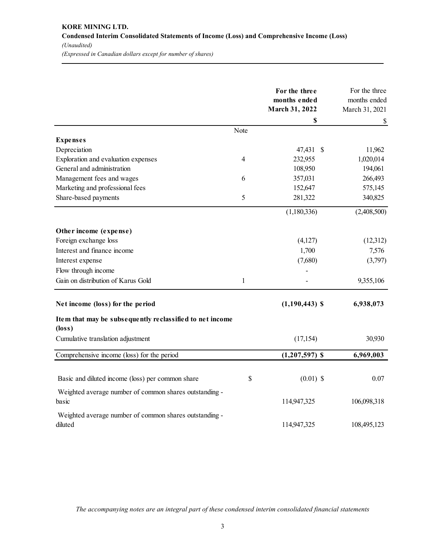# **KORE MINING LTD. Condensed Interim Consolidated Statements of Income (Loss) and Comprehensive Income (Loss)**  *(Unaudited) (Expressed in Canadian dollars except for number of shares)*

|                                                          |                | For the three<br>months ended<br>March 31, 2022 | For the three<br>months ended<br>March 31, 2021 |
|----------------------------------------------------------|----------------|-------------------------------------------------|-------------------------------------------------|
|                                                          |                | \$                                              | \$                                              |
|                                                          | Note           |                                                 |                                                 |
| <b>Expenses</b>                                          |                |                                                 |                                                 |
| Depreciation                                             |                | 47,431 \$                                       | 11,962                                          |
| Exploration and evaluation expenses                      | $\overline{4}$ | 232,955                                         | 1,020,014                                       |
| General and administration                               |                | 108,950                                         | 194,061                                         |
| Management fees and wages                                | 6              | 357,031                                         | 266,493                                         |
| Marketing and professional fees                          |                | 152,647                                         | 575,145                                         |
| Share-based payments                                     | $\mathfrak s$  | 281,322                                         | 340,825                                         |
|                                                          |                | (1,180,336)                                     | (2,408,500)                                     |
| Other income (expense)                                   |                |                                                 |                                                 |
| Foreign exchange loss                                    |                | (4,127)                                         | (12,312)                                        |
| Interest and finance income                              |                | 1,700                                           | 7,576                                           |
| Interest expense                                         |                | (7,680)                                         | (3,797)                                         |
| Flow through income                                      |                |                                                 |                                                 |
| Gain on distribution of Karus Gold                       | $\mathbf{1}$   |                                                 | 9,355,106                                       |
| Net income (loss) for the period                         |                | $(1,190,443)$ \$                                | 6,938,073                                       |
| Item that may be subsequently reclassified to net income |                |                                                 |                                                 |
| $(\text{loss})$                                          |                |                                                 |                                                 |
| Cumulative translation adjustment                        |                | (17, 154)                                       | 30,930                                          |
| Comprehensive income (loss) for the period               |                | $(1,207,597)$ \$                                | 6,969,003                                       |
|                                                          |                |                                                 |                                                 |
| Basic and diluted income (loss) per common share         | \$             | $(0.01)$ \$                                     | 0.07                                            |
| Weighted average number of common shares outstanding -   |                |                                                 |                                                 |
| basic                                                    |                | 114,947,325                                     | 106,098,318                                     |
| Weighted average number of common shares outstanding -   |                |                                                 |                                                 |
| diluted                                                  |                | 114,947,325                                     | 108,495,123                                     |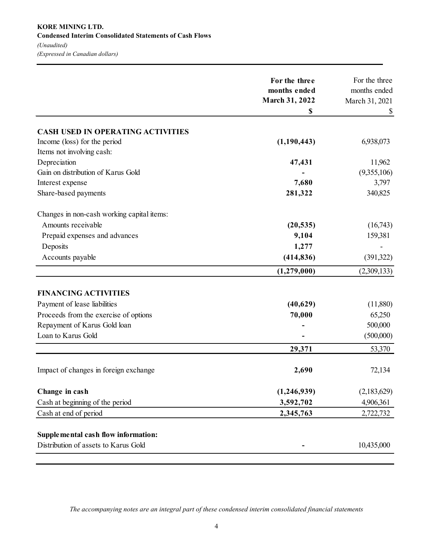|                                            | For the three<br>months ended | For the three<br>months ended |
|--------------------------------------------|-------------------------------|-------------------------------|
|                                            | <b>March 31, 2022</b><br>\$   | March 31, 2021<br>S.          |
| <b>CASH USED IN OPERATING ACTIVITIES</b>   |                               |                               |
| Income (loss) for the period               | (1,190,443)                   | 6,938,073                     |
| Items not involving cash:                  |                               |                               |
| Depreciation                               | 47,431                        | 11,962                        |
| Gain on distribution of Karus Gold         |                               | (9,355,106)                   |
| Interest expense                           | 7,680                         | 3,797                         |
| Share-based payments                       | 281,322                       | 340,825                       |
| Changes in non-cash working capital items: |                               |                               |
| Amounts receivable                         | (20, 535)                     | (16,743)                      |
| Prepaid expenses and advances              | 9,104                         | 159,381                       |
| Deposits                                   | 1,277                         |                               |
| Accounts payable                           | (414, 836)                    | (391,322)                     |
|                                            | (1,279,000)                   | (2,309,133)                   |
| <b>FINANCING ACTIVITIES</b>                |                               |                               |
| Payment of lease liabilities               | (40,629)                      | (11,880)                      |
| Proceeds from the exercise of options      | 70,000                        | 65,250                        |
| Repayment of Karus Gold loan               |                               | 500,000                       |
| Loan to Karus Gold                         |                               | (500,000)                     |
|                                            | 29,371                        | 53,370                        |
| Impact of changes in foreign exchange      | 2,690                         | 72,134                        |
| Change in cash                             | (1,246,939)                   | (2,183,629)                   |
| Cash at beginning of the period            | 3,592,702                     | 4,906,361                     |
| Cash at end of period                      | 2,345,763                     | 2,722,732                     |
| Supplemental cash flow information:        |                               |                               |
| Distribution of assets to Karus Gold       |                               | 10,435,000                    |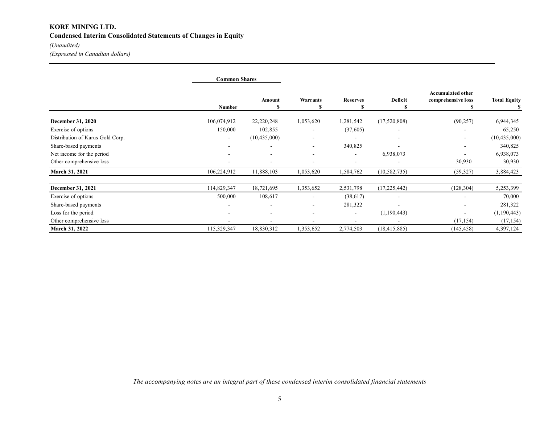# **KORE MINING LTD. Condensed Interim Consolidated Statements of Changes in Equity**

*(Unaudited)*

*(Expressed in Canadian dollars)*

|                                  | <b>Common Shares</b>     |                          |                          |                          |                |                                                |                     |
|----------------------------------|--------------------------|--------------------------|--------------------------|--------------------------|----------------|------------------------------------------------|---------------------|
|                                  | <b>Number</b>            | Amount<br>S              | <b>Warrants</b>          | <b>Reserves</b><br>S     | Deficit<br>S   | <b>Accumulated other</b><br>comprehensive loss | <b>Total Equity</b> |
| <b>December 31, 2020</b>         | 106,074,912              | 22,220,248               | 1,053,620                | 1,281,542                | (17,520,808)   | (90, 257)                                      | 6,944,345           |
| Exercise of options              | 150,000                  | 102,855                  |                          | (37,605)                 |                |                                                | 65,250              |
| Distribution of Karus Gold Corp. | $\overline{\phantom{a}}$ | (10, 435, 000)           | $\overline{\phantom{a}}$ | ٠                        | ٠              | $\overline{\phantom{a}}$                       | (10, 435, 000)      |
| Share-based payments             | ۰                        |                          |                          | 340,825                  |                |                                                | 340,825             |
| Net income for the period        |                          | $\overline{\phantom{a}}$ |                          | ٠                        | 6,938,073      |                                                | 6,938,073           |
| Other comprehensive loss         |                          |                          |                          | ۰                        |                | 30,930                                         | 30,930              |
| March 31, 2021                   | 106,224,912              | 11,888,103               | 1,053,620                | 1,584,762                | (10, 582, 735) | (59, 327)                                      | 3,884,423           |
| December 31, 2021                | 114,829,347              | 18,721,695               | 1,353,652                | 2,531,798                | (17, 225, 442) | (128, 304)                                     | 5,253,399           |
| Exercise of options              | 500,000                  | 108,617                  |                          | (38,617)                 |                |                                                | 70,000              |
| Share-based payments             | ۰                        |                          |                          | 281,322                  |                | -                                              | 281,322             |
| Loss for the period              |                          |                          |                          | $\overline{\phantom{a}}$ | (1,190,443)    |                                                | (1,190,443)         |
| Other comprehensive loss         | ٠                        |                          |                          | ۰                        |                | (17, 154)                                      | (17, 154)           |
| March 31, 2022                   | 115,329,347              | 18,830,312               | 1,353,652                | 2,774,503                | (18, 415, 885) | (145, 458)                                     | 4,397,124           |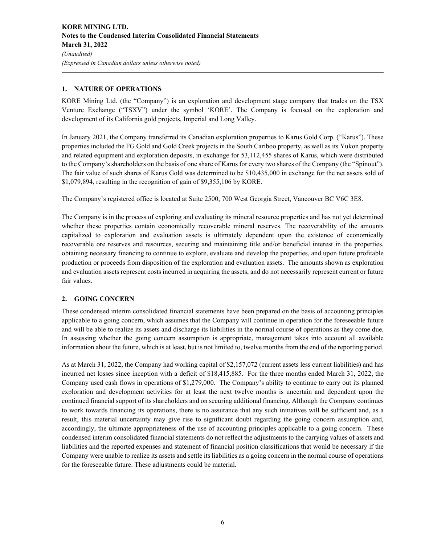## **1. NATURE OF OPERATIONS**

KORE Mining Ltd. (the "Company") is an exploration and development stage company that trades on the TSX Venture Exchange ("TSXV") under the symbol 'KORE'. The Company is focused on the exploration and development of its California gold projects, Imperial and Long Valley.

In January 2021, the Company transferred its Canadian exploration properties to Karus Gold Corp. ("Karus"). These properties included the FG Gold and Gold Creek projects in the South Cariboo property, as well as its Yukon property and related equipment and exploration deposits, in exchange for 53,112,455 shares of Karus, which were distributed to the Company's shareholders on the basis of one share of Karus for every two shares of the Company (the "Spinout"). The fair value of such shares of Karus Gold was determined to be \$10,435,000 in exchange for the net assets sold of \$1,079,894, resulting in the recognition of gain of \$9,355,106 by KORE.

The Company's registered office is located at Suite 2500, 700 West Georgia Street, Vancouver BC V6C 3E8.

The Company is in the process of exploring and evaluating its mineral resource properties and has not yet determined whether these properties contain economically recoverable mineral reserves. The recoverability of the amounts capitalized to exploration and evaluation assets is ultimately dependent upon the existence of economically recoverable ore reserves and resources, securing and maintaining title and/or beneficial interest in the properties, obtaining necessary financing to continue to explore, evaluate and develop the properties, and upon future profitable production or proceeds from disposition of the exploration and evaluation assets. The amounts shown as exploration and evaluation assets represent costs incurred in acquiring the assets, and do not necessarily represent current or future fair values.

## **2. GOING CONCERN**

These condensed interim consolidated financial statements have been prepared on the basis of accounting principles applicable to a going concern, which assumes that the Company will continue in operation for the foreseeable future and will be able to realize its assets and discharge its liabilities in the normal course of operations as they come due. In assessing whether the going concern assumption is appropriate, management takes into account all available information about the future, which is at least, but is not limited to, twelve months from the end of the reporting period.

As at March 31, 2022, the Company had working capital of \$2,157,072 (current assets less current liabilities) and has incurred net losses since inception with a deficit of \$18,415,885. For the three months ended March 31, 2022, the Company used cash flows in operations of \$1,279,000. The Company's ability to continue to carry out its planned exploration and development activities for at least the next twelve months is uncertain and dependent upon the continued financial support of its shareholders and on securing additional financing. Although the Company continues to work towards financing its operations, there is no assurance that any such initiatives will be sufficient and, as a result, this material uncertainty may give rise to significant doubt regarding the going concern assumption and, accordingly, the ultimate appropriateness of the use of accounting principles applicable to a going concern. These condensed interim consolidated financial statements do not reflect the adjustments to the carrying values of assets and liabilities and the reported expenses and statement of financial position classifications that would be necessary if the Company were unable to realize its assets and settle its liabilities as a going concern in the normal course of operations for the foreseeable future. These adjustments could be material.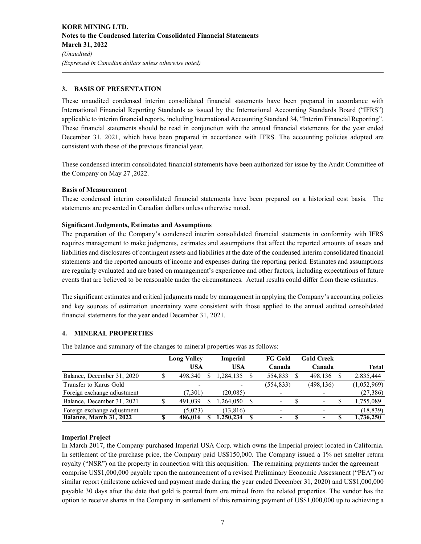## **3. BASIS OF PRESENTATION**

These unaudited condensed interim consolidated financial statements have been prepared in accordance with International Financial Reporting Standards as issued by the International Accounting Standards Board ("IFRS") applicable to interim financial reports, including International Accounting Standard 34, "Interim Financial Reporting". These financial statements should be read in conjunction with the annual financial statements for the year ended December 31, 2021, which have been prepared in accordance with IFRS. The accounting policies adopted are consistent with those of the previous financial year.

These condensed interim consolidated financial statements have been authorized for issue by the Audit Committee of the Company on May 27 ,2022.

#### **Basis of Measurement**

These condensed interim consolidated financial statements have been prepared on a historical cost basis. The statements are presented in Canadian dollars unless otherwise noted.

#### **Significant Judgments, Estimates and Assumptions**

The preparation of the Company's condensed interim consolidated financial statements in conformity with IFRS requires management to make judgments, estimates and assumptions that affect the reported amounts of assets and liabilities and disclosures of contingent assets and liabilities at the date of the condensed interim consolidated financial statements and the reported amounts of income and expenses during the reporting period. Estimates and assumptions are regularly evaluated and are based on management's experience and other factors, including expectations of future events that are believed to be reasonable under the circumstances. Actual results could differ from these estimates.

The significant estimates and critical judgments made by management in applying the Company's accounting policies and key sources of estimation uncertainty were consistent with those applied to the annual audited consolidated financial statements for the year ended December 31, 2021.

#### **4. MINERAL PROPERTIES**

The balance and summary of the changes to mineral properties was as follows:

|                             | <b>Long Valley</b> | <b>Imperial</b> | <b>FG Gold</b>           | <b>Gold Creek</b>        |     |              |
|-----------------------------|--------------------|-----------------|--------------------------|--------------------------|-----|--------------|
|                             | USA                | <b>USA</b>      | Canada                   | Canada                   |     | <b>Total</b> |
| Balance, December 31, 2020  | 498,340            | .284.135        | 554,833                  | 498.136                  |     | 2,835,444    |
| Transfer to Karus Gold      |                    |                 | (554, 833)               | (498, 136)               |     | (1,052,969)  |
| Foreign exchange adjustment | (7,301)            | (20, 085)       | $\overline{\phantom{0}}$ | $\overline{\phantom{a}}$ |     | (27, 386)    |
| Balance, December 31, 2021  | 491,039            | .264,050        | $\overline{\phantom{a}}$ | $\overline{\phantom{a}}$ | \$. | 1,755,089    |
| Foreign exchange adjustment | (5.023)            | (13, 816)       | $\overline{\phantom{0}}$ | $\overline{\phantom{a}}$ |     | (18, 839)    |
| Balance, March 31, 2022     | 486,016            | .250.234        | ٠                        | ٠                        | S   | 1,736,250    |

#### **Imperial Project**

In March 2017, the Company purchased Imperial USA Corp. which owns the Imperial project located in California. In settlement of the purchase price, the Company paid US\$150,000. The Company issued a 1% net smelter return royalty ("NSR") on the property in connection with this acquisition. The remaining payments under the agreement comprise US\$1,000,000 payable upon the announcement of a revised Preliminary Economic Assessment ("PEA") or similar report (milestone achieved and payment made during the year ended December 31, 2020) and US\$1,000,000 payable 30 days after the date that gold is poured from ore mined from the related properties. The vendor has the option to receive shares in the Company in settlement of this remaining payment of US\$1,000,000 up to achieving a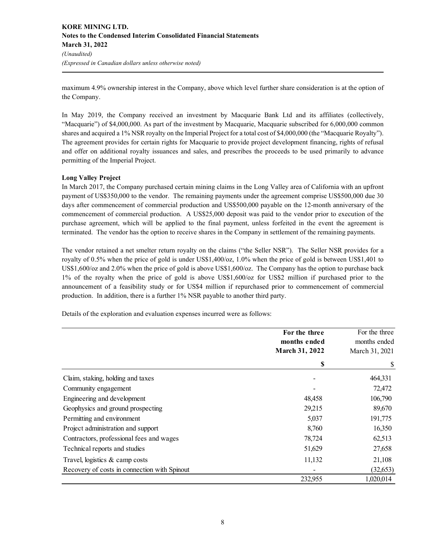maximum 4.9% ownership interest in the Company, above which level further share consideration is at the option of the Company.

In May 2019, the Company received an investment by Macquarie Bank Ltd and its affiliates (collectively, "Macquarie") of \$4,000,000. As part of the investment by Macquarie, Macquarie subscribed for 6,000,000 common shares and acquired a 1% NSR royalty on the Imperial Project for a total cost of \$4,000,000 (the "Macquarie Royalty"). The agreement provides for certain rights for Macquarie to provide project development financing, rights of refusal and offer on additional royalty issuances and sales, and prescribes the proceeds to be used primarily to advance permitting of the Imperial Project.

#### **Long Valley Project**

In March 2017, the Company purchased certain mining claims in the Long Valley area of California with an upfront payment of US\$350,000 to the vendor. The remaining payments under the agreement comprise US\$500,000 due 30 days after commencement of commercial production and US\$500,000 payable on the 12-month anniversary of the commencement of commercial production. A US\$25,000 deposit was paid to the vendor prior to execution of the purchase agreement, which will be applied to the final payment, unless forfeited in the event the agreement is terminated. The vendor has the option to receive shares in the Company in settlement of the remaining payments.

The vendor retained a net smelter return royalty on the claims ("the Seller NSR"). The Seller NSR provides for a royalty of 0.5% when the price of gold is under US\$1,400/oz, 1.0% when the price of gold is between US\$1,401 to US\$1,600/oz and 2.0% when the price of gold is above US\$1,600/oz. The Company has the option to purchase back 1% of the royalty when the price of gold is above US\$1,600/oz for US\$2 million if purchased prior to the announcement of a feasibility study or for US\$4 million if repurchased prior to commencement of commercial production. In addition, there is a further 1% NSR payable to another third party.

Details of the exploration and evaluation expenses incurred were as follows:

|                                              | For the three<br>months ended<br>March 31, 2022 | For the three<br>months ended<br>March 31, 2021 |
|----------------------------------------------|-------------------------------------------------|-------------------------------------------------|
|                                              | \$                                              |                                                 |
| Claim, staking, holding and taxes            |                                                 | 464,331                                         |
| Community engagement                         |                                                 | 72,472                                          |
| Engineering and development                  | 48,458                                          | 106,790                                         |
| Geophysics and ground prospecting            | 29,215                                          | 89,670                                          |
| Permitting and environment                   | 5,037                                           | 191,775                                         |
| Project administration and support           | 8,760                                           | 16,350                                          |
| Contractors, professional fees and wages     | 78,724                                          | 62,513                                          |
| Technical reports and studies                | 51,629                                          | 27,658                                          |
| Travel, logistics & camp costs               | 11,132                                          | 21,108                                          |
| Recovery of costs in connection with Spinout |                                                 | (32, 653)                                       |
|                                              | 232,955                                         | 1,020,014                                       |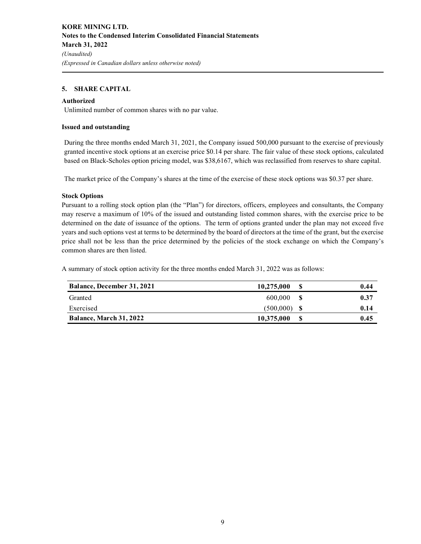#### **5. SHARE CAPITAL**

#### **Authorized**

Unlimited number of common shares with no par value.

#### **Issued and outstanding**

During the three months ended March 31, 2021, the Company issued 500,000 pursuant to the exercise of previously granted incentive stock options at an exercise price \$0.14 per share. The fair value of these stock options, calculated based on Black-Scholes option pricing model, was \$38,6167, which was reclassified from reserves to share capital.

The market price of the Company's shares at the time of the exercise of these stock options was \$0.37 per share.

#### **Stock Options**

Pursuant to a rolling stock option plan (the "Plan") for directors, officers, employees and consultants, the Company may reserve a maximum of 10% of the issued and outstanding listed common shares, with the exercise price to be determined on the date of issuance of the options. The term of options granted under the plan may not exceed five years and such options vest at terms to be determined by the board of directors at the time of the grant, but the exercise price shall not be less than the price determined by the policies of the stock exchange on which the Company's common shares are then listed.

A summary of stock option activity for the three months ended March 31, 2022 was as follows:

| <b>Balance, December 31, 2021</b> | 10,275,000     | S   | 0.44 |
|-----------------------------------|----------------|-----|------|
| Granted                           | 600,000        | - S | 0.37 |
| Exercised                         | $(500.000)$ \$ |     | 0.14 |
| Balance, March 31, 2022           | 10,375,000     | S   | 0.45 |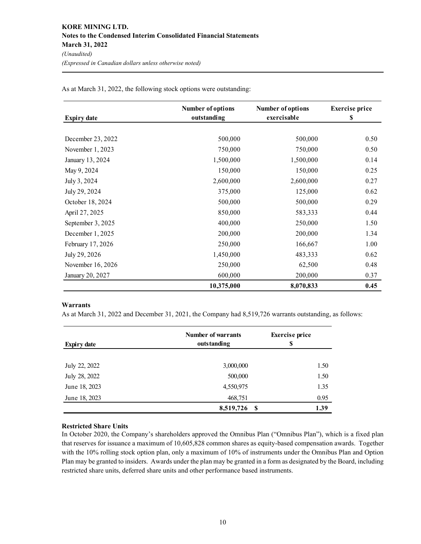| <b>Expiry date</b> | <b>Number of options</b><br>outstanding | <b>Number of options</b><br>exercisable | <b>Exercise</b> price<br>\$ |
|--------------------|-----------------------------------------|-----------------------------------------|-----------------------------|
|                    |                                         |                                         |                             |
| December 23, 2022  | 500,000                                 | 500,000                                 | 0.50                        |
| November 1, 2023   | 750,000                                 | 750,000                                 | 0.50                        |
| January 13, 2024   | 1,500,000                               | 1,500,000                               | 0.14                        |
| May 9, 2024        | 150,000                                 | 150,000                                 | 0.25                        |
| July 3, 2024       | 2,600,000                               | 2,600,000                               | 0.27                        |
| July 29, 2024      | 375,000                                 | 125,000                                 | 0.62                        |
| October 18, 2024   | 500,000                                 | 500,000                                 | 0.29                        |
| April 27, 2025     | 850,000                                 | 583,333                                 | 0.44                        |
| September 3, 2025  | 400,000                                 | 250,000                                 | 1.50                        |
| December 1, 2025   | 200,000                                 | 200,000                                 | 1.34                        |
| February 17, 2026  | 250,000                                 | 166,667                                 | 1.00                        |
| July 29, 2026      | 1,450,000                               | 483,333                                 | 0.62                        |
| November 16, 2026  | 250,000                                 | 62,500                                  | 0.48                        |
| January 20, 2027   | 600,000                                 | 200,000                                 | 0.37                        |
|                    | 10,375,000                              | 8,070,833                               | 0.45                        |

As at March 31, 2022, the following stock options were outstanding:

#### **Warrants**

As at March 31, 2022 and December 31, 2021, the Company had 8,519,726 warrants outstanding, as follows:

| <b>Expiry date</b> | <b>Number of warrants</b><br>outstanding | <b>Exercise</b> price<br>S |  |
|--------------------|------------------------------------------|----------------------------|--|
| July 22, 2022      | 3,000,000                                | 1.50                       |  |
| July 28, 2022      | 500,000                                  | 1.50                       |  |
| June 18, 2023      | 4,550,975                                | 1.35                       |  |
| June 18, 2023      | 468,751                                  | 0.95                       |  |
|                    | 8,519,726<br>-S                          | 1.39                       |  |

#### **Restricted Share Units**

In October 2020, the Company's shareholders approved the Omnibus Plan ("Omnibus Plan"), which is a fixed plan that reserves for issuance a maximum of 10,605,828 common shares as equity-based compensation awards. Together with the 10% rolling stock option plan, only a maximum of 10% of instruments under the Omnibus Plan and Option Plan may be granted to insiders. Awards under the plan may be granted in a form as designated by the Board, including restricted share units, deferred share units and other performance based instruments.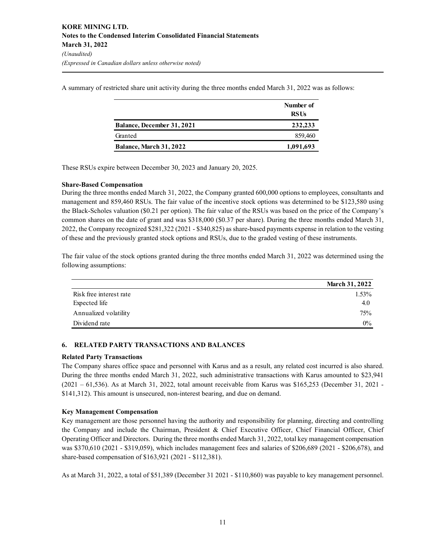A summary of restricted share unit activity during the three months ended March 31, 2022 was as follows:

|                                   | Number of<br><b>RSUs</b> |
|-----------------------------------|--------------------------|
| <b>Balance, December 31, 2021</b> | 232,233                  |
| Granted                           | 859,460                  |
| <b>Balance, March 31, 2022</b>    | 1,091,693                |

These RSUs expire between December 30, 2023 and January 20, 2025.

#### **Share-Based Compensation**

During the three months ended March 31, 2022, the Company granted 600,000 options to employees, consultants and management and 859,460 RSUs. The fair value of the incentive stock options was determined to be \$123,580 using the Black-Scholes valuation (\$0.21 per option). The fair value of the RSUs was based on the price of the Company's common shares on the date of grant and was \$318,000 (\$0.37 per share). During the three months ended March 31, 2022, the Company recognized \$281,322 (2021 - \$340,825) as share-based payments expense in relation to the vesting of these and the previously granted stock options and RSUs, due to the graded vesting of these instruments.

The fair value of the stock options granted during the three months ended March 31, 2022 was determined using the following assumptions:

|                         | <b>March 31, 2022</b> |
|-------------------------|-----------------------|
| Risk free interest rate | $1.53\%$              |
| Expected life           | 4.0                   |
| Annualized volatility   | 75%                   |
| Dividend rate           | $0\%$                 |

#### **6. RELATED PARTY TRANSACTIONS AND BALANCES**

#### **Related Party Transactions**

The Company shares office space and personnel with Karus and as a result, any related cost incurred is also shared. During the three months ended March 31, 2022, such administrative transactions with Karus amounted to \$23,941 (2021 – 61,536). As at March 31, 2022, total amount receivable from Karus was \$165,253 (December 31, 2021 - \$141,312). This amount is unsecured, non-interest bearing, and due on demand.

#### **Key Management Compensation**

Key management are those personnel having the authority and responsibility for planning, directing and controlling the Company and include the Chairman, President & Chief Executive Officer, Chief Financial Officer, Chief Operating Officer and Directors. During the three months ended March 31, 2022, total key management compensation was \$370,610 (2021 - \$319,059), which includes management fees and salaries of \$206,689 (2021 - \$206,678), and share-based compensation of \$163,921 (2021 - \$112,381).

As at March 31, 2022, a total of \$51,389 (December 31 2021 - \$110,860) was payable to key management personnel.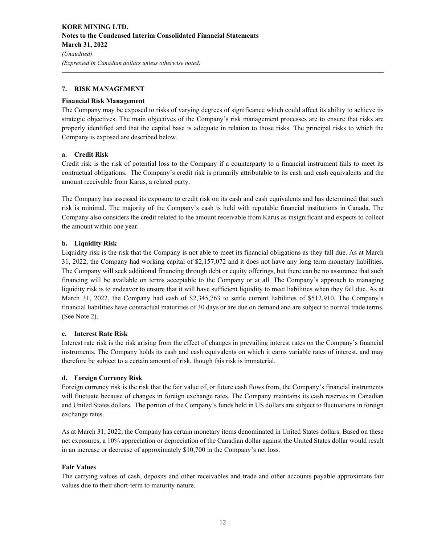#### **7. RISK MANAGEMENT**

#### **Financial Risk Management**

The Company may be exposed to risks of varying degrees of significance which could affect its ability to achieve its strategic objectives. The main objectives of the Company's risk management processes are to ensure that risks are properly identified and that the capital base is adequate in relation to those risks. The principal risks to which the Company is exposed are described below.

#### **a. Credit Risk**

Credit risk is the risk of potential loss to the Company if a counterparty to a financial instrument fails to meet its contractual obligations. The Company's credit risk is primarily attributable to its cash and cash equivalents and the amount receivable from Karus, a related party.

The Company has assessed its exposure to credit risk on its cash and cash equivalents and has determined that such risk is minimal. The majority of the Company's cash is held with reputable financial institutions in Canada. The Company also considers the credit related to the amount receivable from Karus as insignificant and expects to collect the amount within one year.

#### **b. Liquidity Risk**

Liquidity risk is the risk that the Company is not able to meet its financial obligations as they fall due. As at March 31, 2022, the Company had working capital of \$2,157,072 and it does not have any long term monetary liabilities. The Company will seek additional financing through debt or equity offerings, but there can be no assurance that such financing will be available on terms acceptable to the Company or at all. The Company's approach to managing liquidity risk is to endeavor to ensure that it will have sufficient liquidity to meet liabilities when they fall due. As at March 31, 2022, the Company had cash of \$2,345,763 to settle current liabilities of \$512,910. The Company's financial liabilities have contractual maturities of 30 days or are due on demand and are subject to normal trade terms. (See Note 2).

#### **c. Interest Rate Risk**

Interest rate risk is the risk arising from the effect of changes in prevailing interest rates on the Company's financial instruments. The Company holds its cash and cash equivalents on which it earns variable rates of interest, and may therefore be subject to a certain amount of risk, though this risk is immaterial.

#### **d. Foreign Currency Risk**

Foreign currency risk is the risk that the fair value of, or future cash flows from, the Company's financial instruments will fluctuate because of changes in foreign exchange rates. The Company maintains its cash reserves in Canadian and United States dollars. The portion of the Company's funds held in US dollars are subject to fluctuations in foreign exchange rates.

As at March 31, 2022, the Company has certain monetary items denominated in United States dollars. Based on these net exposures, a 10% appreciation or depreciation of the Canadian dollar against the United States dollar would result in an increase or decrease of approximately \$10,700 in the Company's net loss.

#### **Fair Values**

The carrying values of cash, deposits and other receivables and trade and other accounts payable approximate fair values due to their short-term to maturity nature.